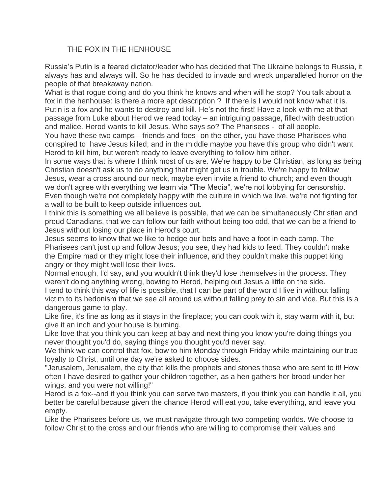## THE FOX IN THE HENHOUSE

Russia's Putin is a feared dictator/leader who has decided that The Ukraine belongs to Russia, it always has and always will. So he has decided to invade and wreck unparalleled horror on the people of that breakaway nation.

What is that rogue doing and do you think he knows and when will he stop? You talk about a fox in the henhouse: is there a more apt description ? If there is I would not know what it is. Putin is a fox and he wants to destroy and kill. He's not the first! Have a look with me at that passage from Luke about Herod we read today – an intriguing passage, filled with destruction and malice. Herod wants to kill Jesus. Who says so? The Pharisees - of all people. You have these two camps—friends and foes--on the other, you have those Pharisees who conspired to have Jesus killed; and in the middle maybe you have this group who didn't want Herod to kill him, but weren't ready to leave everything to follow him either.

In some ways that is where I think most of us are. We're happy to be Christian, as long as being Christian doesn't ask us to do anything that might get us in trouble. We're happy to follow Jesus, wear a cross around our neck, maybe even invite a friend to church; and even though we don't agree with everything we learn via "The Media", we're not lobbying for censorship. Even though we're not completely happy with the culture in which we live, we're not fighting for a wall to be built to keep outside influences out.

I think this is something we all believe is possible, that we can be simultaneously Christian and proud Canadians, that we can follow our faith without being too odd, that we can be a friend to Jesus without losing our place in Herod's court.

Jesus seems to know that we like to hedge our bets and have a foot in each camp. The Pharisees can't just up and follow Jesus; you see, they had kids to feed. They couldn't make the Empire mad or they might lose their influence, and they couldn't make this puppet king angry or they might well lose their lives.

Normal enough, I'd say, and you wouldn't think they'd lose themselves in the process. They weren't doing anything wrong, bowing to Herod, helping out Jesus a little on the side.

I tend to think this way of life is possible, that I can be part of the world I live in without falling victim to its hedonism that we see all around us without falling prey to sin and vice. But this is a dangerous game to play.

Like fire, it's fine as long as it stays in the fireplace; you can cook with it, stay warm with it, but give it an inch and your house is burning.

Like love that you think you can keep at bay and next thing you know you're doing things you never thought you'd do, saying things you thought you'd never say.

We think we can control that fox, bow to him Monday through Friday while maintaining our true loyalty to Christ, until one day we're asked to choose sides.

"Jerusalem, Jerusalem, the city that kills the prophets and stones those who are sent to it! How often I have desired to gather your children together, as a hen gathers her brood under her wings, and you were not willing!"

Herod is a fox--and if you think you can serve two masters, if you think you can handle it all, you better be careful because given the chance Herod will eat you, take everything, and leave you empty.

Like the Pharisees before us, we must navigate through two competing worlds. We choose to follow Christ to the cross and our friends who are willing to compromise their values and